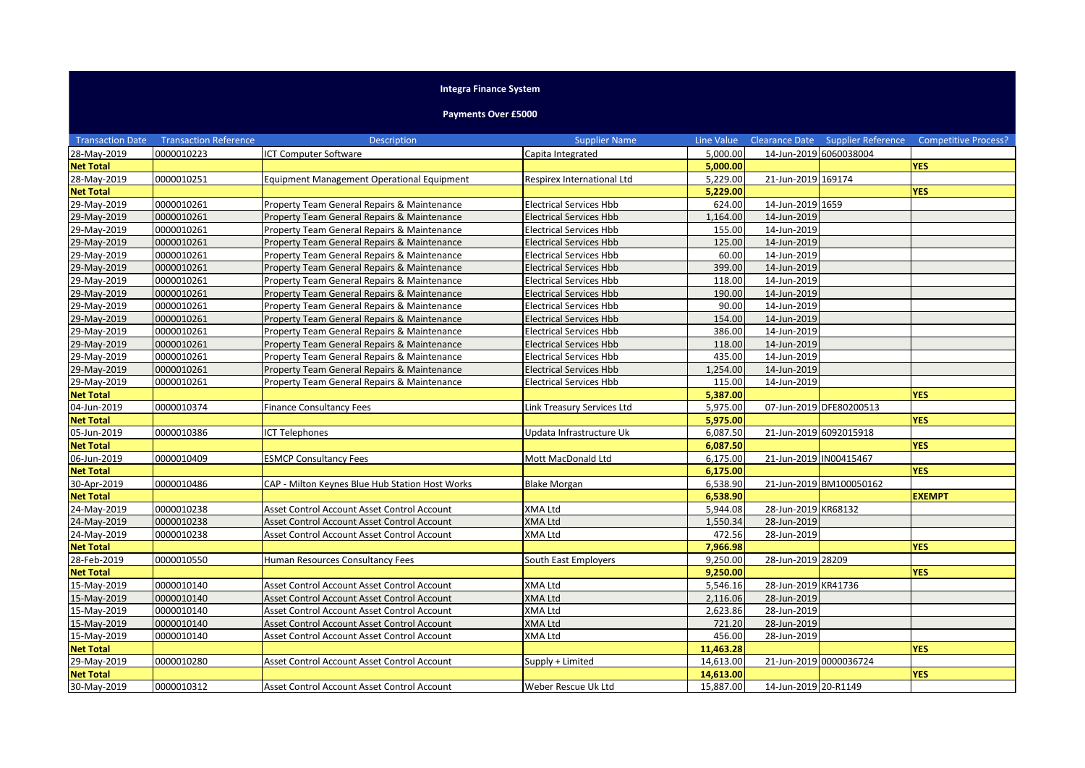## **Integra Finance System**

## **Payments Over £5000**

| <b>Transaction Date</b> | <b>Transaction Reference</b> | <b>Description</b>                                | <b>Supplier Name</b>           | Line Value |                        | Clearance Date Supplier Reference | <b>Competitive Process?</b> |
|-------------------------|------------------------------|---------------------------------------------------|--------------------------------|------------|------------------------|-----------------------------------|-----------------------------|
| 28-May-2019             | 0000010223                   | <b>ICT Computer Software</b>                      | Capita Integrated              | 5,000.00   | 14-Jun-2019 6060038004 |                                   |                             |
| <b>Net Total</b>        |                              |                                                   |                                | 5,000.00   |                        |                                   | <b>YES</b>                  |
| 28-May-2019             | 0000010251                   | <b>Equipment Management Operational Equipment</b> | Respirex International Ltd     | 5,229.00   | 21-Jun-2019 169174     |                                   |                             |
| <b>Net Total</b>        |                              |                                                   |                                | 5,229.00   |                        |                                   | <b>YES</b>                  |
| 29-May-2019             | 0000010261                   | Property Team General Repairs & Maintenance       | <b>Electrical Services Hbb</b> | 624.00     | 14-Jun-2019 1659       |                                   |                             |
| 29-May-2019             | 0000010261                   | Property Team General Repairs & Maintenance       | <b>Electrical Services Hbb</b> | 1,164.00   | 14-Jun-2019            |                                   |                             |
| 29-May-2019             | 0000010261                   | Property Team General Repairs & Maintenance       | <b>Electrical Services Hbb</b> | 155.00     | 14-Jun-2019            |                                   |                             |
| 29-May-2019             | 0000010261                   | Property Team General Repairs & Maintenance       | <b>Electrical Services Hbb</b> | 125.00     | 14-Jun-2019            |                                   |                             |
| 29-May-2019             | 0000010261                   | Property Team General Repairs & Maintenance       | <b>Electrical Services Hbb</b> | 60.00      | 14-Jun-2019            |                                   |                             |
| 29-May-2019             | 0000010261                   | Property Team General Repairs & Maintenance       | <b>Electrical Services Hbb</b> | 399.00     | 14-Jun-2019            |                                   |                             |
| 29-May-2019             | 0000010261                   | Property Team General Repairs & Maintenance       | <b>Electrical Services Hbb</b> | 118.00     | 14-Jun-2019            |                                   |                             |
| 29-May-2019             | 0000010261                   | Property Team General Repairs & Maintenance       | <b>Electrical Services Hbb</b> | 190.00     | 14-Jun-2019            |                                   |                             |
| 29-May-2019             | 0000010261                   | Property Team General Repairs & Maintenance       | <b>Electrical Services Hbb</b> | 90.00      | 14-Jun-2019            |                                   |                             |
| 29-May-2019             | 0000010261                   | Property Team General Repairs & Maintenance       | <b>Electrical Services Hbb</b> | 154.00     | 14-Jun-2019            |                                   |                             |
| 29-May-2019             | 0000010261                   | Property Team General Repairs & Maintenance       | <b>Electrical Services Hbb</b> | 386.00     | 14-Jun-2019            |                                   |                             |
| 29-May-2019             | 0000010261                   | Property Team General Repairs & Maintenance       | <b>Electrical Services Hbb</b> | 118.00     | 14-Jun-2019            |                                   |                             |
| 29-May-2019             | 0000010261                   | Property Team General Repairs & Maintenance       | <b>Electrical Services Hbb</b> | 435.00     | 14-Jun-2019            |                                   |                             |
| 29-May-2019             | 0000010261                   | Property Team General Repairs & Maintenance       | <b>Electrical Services Hbb</b> | 1,254.00   | 14-Jun-2019            |                                   |                             |
| 29-May-2019             | 0000010261                   | Property Team General Repairs & Maintenance       | <b>Electrical Services Hbb</b> | 115.00     | 14-Jun-2019            |                                   |                             |
| <b>Net Total</b>        |                              |                                                   |                                | 5,387.00   |                        |                                   | <b>YES</b>                  |
| 04-Jun-2019             | 0000010374                   | <b>Finance Consultancy Fees</b>                   | Link Treasury Services Ltd     | 5,975.00   |                        | 07-Jun-2019 DFE80200513           |                             |
| <b>Net Total</b>        |                              |                                                   |                                | 5,975.00   |                        |                                   | <b>YES</b>                  |
| 05-Jun-2019             | 0000010386                   | <b>CT Telephones</b>                              | Updata Infrastructure Uk       | 6,087.50   | 21-Jun-2019 6092015918 |                                   |                             |
| <b>Net Total</b>        |                              |                                                   |                                | 6,087.50   |                        |                                   | <b>YES</b>                  |
| 06-Jun-2019             | 0000010409                   | <b>ESMCP Consultancy Fees</b>                     | Mott MacDonald Ltd             | 6,175.00   | 21-Jun-2019 IN00415467 |                                   |                             |
| <b>Net Total</b>        |                              |                                                   |                                | 6,175.00   |                        |                                   | <b>YES</b>                  |
| 30-Apr-2019             | 0000010486                   | CAP - Milton Keynes Blue Hub Station Host Works   | <b>Blake Morgan</b>            | 6,538.90   |                        | 21-Jun-2019 BM100050162           |                             |
| <b>Net Total</b>        |                              |                                                   |                                | 6,538.90   |                        |                                   | <b>EXEMPT</b>               |
| 24-May-2019             | 0000010238                   | Asset Control Account Asset Control Account       | <b>XMA Ltd</b>                 | 5,944.08   | 28-Jun-2019 KR68132    |                                   |                             |
| 24-May-2019             | 0000010238                   | Asset Control Account Asset Control Account       | <b>XMA Ltd</b>                 | 1,550.34   | 28-Jun-2019            |                                   |                             |
| 24-May-2019             | 0000010238                   | Asset Control Account Asset Control Account       | <b>XMA Ltd</b>                 | 472.56     | 28-Jun-2019            |                                   |                             |
| <b>Net Total</b>        |                              |                                                   |                                | 7,966.98   |                        |                                   | <b>YES</b>                  |
| 28-Feb-2019             | 0000010550                   | Human Resources Consultancy Fees                  | South East Employers           | 9,250.00   | 28-Jun-2019 28209      |                                   |                             |
| <b>Net Total</b>        |                              |                                                   |                                | 9,250.00   |                        |                                   | <b>YES</b>                  |
| 15-May-2019             | 0000010140                   | Asset Control Account Asset Control Account       | XMA Ltd                        | 5,546.16   | 28-Jun-2019 KR41736    |                                   |                             |
| 15-May-2019             | 0000010140                   | Asset Control Account Asset Control Account       | <b>XMA Ltd</b>                 | 2,116.06   | 28-Jun-2019            |                                   |                             |
| 15-May-2019             | 0000010140                   | Asset Control Account Asset Control Account       | <b>XMA Ltd</b>                 | 2,623.86   | 28-Jun-2019            |                                   |                             |
| 15-May-2019             | 0000010140                   | Asset Control Account Asset Control Account       | <b>XMA Ltd</b>                 | 721.20     | 28-Jun-2019            |                                   |                             |
| 15-May-2019             | 0000010140                   | Asset Control Account Asset Control Account       | <b>XMA Ltd</b>                 | 456.00     | 28-Jun-2019            |                                   |                             |
| <b>Net Total</b>        |                              |                                                   |                                | 11,463.28  |                        |                                   | <b>YES</b>                  |
| 29-May-2019             | 0000010280                   | Asset Control Account Asset Control Account       | Supply + Limited               | 14,613.00  | 21-Jun-2019 0000036724 |                                   |                             |
| <b>Net Total</b>        |                              |                                                   |                                | 14,613.00  |                        |                                   | <b>YES</b>                  |
| 30-May-2019             | 0000010312                   | Asset Control Account Asset Control Account       | Weber Rescue Uk Ltd            | 15,887.00  | 14-Jun-2019 20-R1149   |                                   |                             |